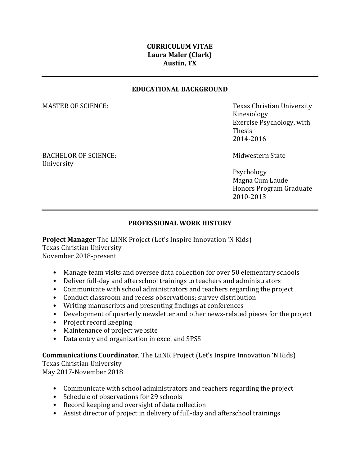# **CURRICULUM VITAE Laura Maler (Clark) Austin, TX**

#### **EDUCATIONAL BACKGROUND**

MASTER OF SCIENCE: Texas Christian University Kinesiology Exercise Psychology, with Thesis 2014-2016

BACHELOR OF SCIENCE: The Midwestern State of Midwestern State University

Psychology Magna Cum Laude Honors Program Graduate 2010-2013

## **PROFESSIONAL WORK HISTORY**

**Project Manager** The LiiNK Project (Let's Inspire Innovation 'N Kids) Texas Christian University November 2018-present

- Manage team visits and oversee data collection for over 50 elementary schools
- Deliver full-day and afterschool trainings to teachers and administrators
- Communicate with school administrators and teachers regarding the project
- Conduct classroom and recess observations; survey distribution
- Writing manuscripts and presenting findings at conferences
- Development of quarterly newsletter and other news-related pieces for the project
- Project record keeping
- Maintenance of project website
- Data entry and organization in excel and SPSS

**Communications Coordinator**, The LiiNK Project (Let's Inspire Innovation 'N Kids) Texas Christian University

May 2017-November 2018

- Communicate with school administrators and teachers regarding the project
- Schedule of observations for 29 schools
- Record keeping and oversight of data collection
- Assist director of project in delivery of full-day and afterschool trainings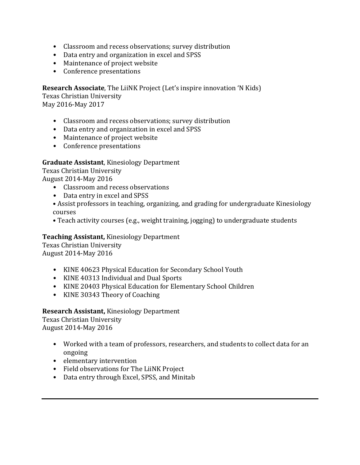- Classroom and recess observations; survey distribution
- Data entry and organization in excel and SPSS
- Maintenance of project website
- Conference presentations

**Research Associate**, The LiiNK Project (Let's inspire innovation 'N Kids)

Texas Christian University May 2016-May 2017

- Classroom and recess observations; survey distribution
- Data entry and organization in excel and SPSS
- Maintenance of project website
- Conference presentations

## **Graduate Assistant**, Kinesiology Department

Texas Christian University

August 2014-May 2016

- Classroom and recess observations
- Data entry in excel and SPSS
- Assist professors in teaching, organizing, and grading for undergraduate Kinesiology courses
- Teach activity courses (e.g., weight training, jogging) to undergraduate students

## **Teaching Assistant,** Kinesiology Department

Texas Christian University August 2014-May 2016

- KINE 40623 Physical Education for Secondary School Youth
- KINE 40313 Individual and Dual Sports
- KINE 20403 Physical Education for Elementary School Children
- KINE 30343 Theory of Coaching

**Research Assistant,** Kinesiology Department Texas Christian University August 2014-May 2016

- Worked with a team of professors, researchers, and students to collect data for an ongoing
- elementary intervention
- Field observations for The LiiNK Project
- Data entry through Excel, SPSS, and Minitab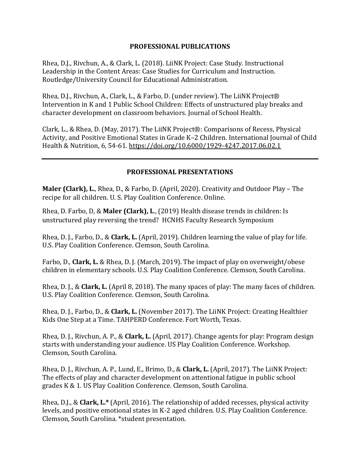### **PROFESSIONAL PUBLICATIONS**

Rhea, D.J., Rivchun, A., & Clark, L. (2018). LiiNK Project: Case Study. Instructional Leadership in the Content Areas: Case Studies for Curriculum and Instruction. Routledge/University Council for Educational Administration.

Rhea, D.J., Rivchun, A., Clark, L., & Farbo, D. (under review). The LiiNK Project® Intervention in K and 1 Public School Children: Effects of unstructured play breaks and character development on classroom behaviors. Journal of School Health.

Clark, L., & Rhea, D. (May, 2017). The LiiNK Project®: Comparisons of Recess, Physical Activity, and Positive Emotional States in Grade K–2 Children. International Journal of Child Health & Nutrition, 6, 54-61.<https://doi.org/10.6000/1929-4247.2017.06.02.1>

### **PROFESSIONAL PRESENTATIONS**

**Maler (Clark), L.**, Rhea, D., & Farbo, D. (April, 2020). Creativity and Outdoor Play – The recipe for all children. U. S. Play Coalition Conference. Online.

Rhea, D. Farbo, D, & **Maler (Clark), L**., (2019) Health disease trends in children: Is unstructured play reversing the trend? HCNHS Faculty Research Symposium

Rhea, D. J., Farbo, D., & **Clark, L.** (April, 2019). Children learning the value of play for life. U.S. Play Coalition Conference. Clemson, South Carolina.

Farbo, D., **Clark, L.** & Rhea, D. J. (March, 2019). The impact of play on overweight/obese children in elementary schools. U.S. Play Coalition Conference. Clemson, South Carolina.

Rhea, D. J., & **Clark, L.** (April 8, 2018). The many spaces of play: The many faces of children. U.S. Play Coalition Conference. Clemson, South Carolina.

Rhea, D. J., Farbo, D., & **Clark, L.** (November 2017). The LiiNK Project: Creating Healthier Kids One Step at a Time. TAHPERD Conference. Fort Worth, Texas.

Rhea, D. J., Rivchun, A. P., & **Clark, L.** (April, 2017). Change agents for play: Program design starts with understanding your audience. US Play Coalition Conference. Workshop. Clemson, South Carolina.

Rhea, D. J., Rivchun, A. P., Lund, E., Brimo, D., & **Clark, L.** (April, 2017). The LiiNK Project: The effects of play and character development on attentional fatigue in public school grades K & 1. US Play Coalition Conference. Clemson, South Carolina.

Rhea, D.J., & **Clark, L.\*** (April, 2016). The relationship of added recesses, physical activity levels, and positive emotional states in K-2 aged children*.* U.S. Play Coalition Conference. Clemson, South Carolina. \*student presentation.